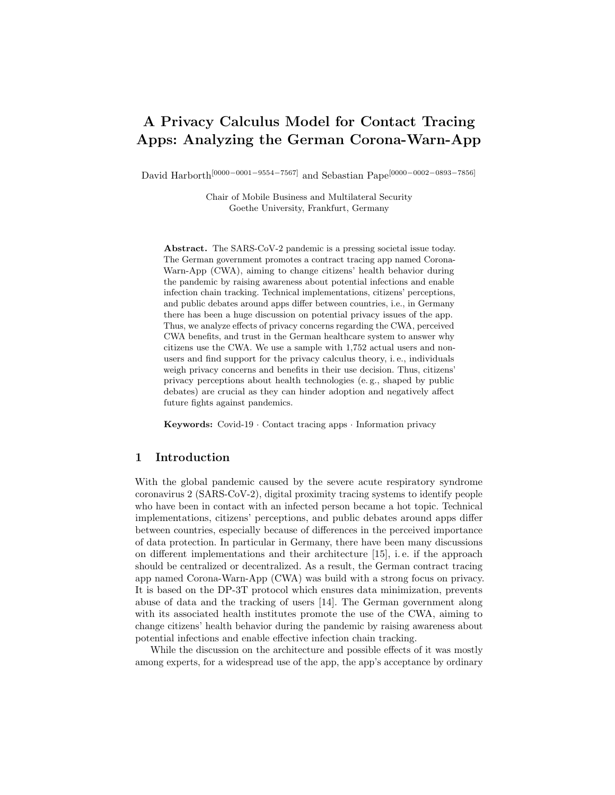# A Privacy Calculus Model for Contact Tracing Apps: Analyzing the German Corona-Warn-App

David Harborth[0000−0001−9554−7567] and Sebastian Pape[0000−0002−0893−7856]

Chair of Mobile Business and Multilateral Security Goethe University, Frankfurt, Germany

Abstract. The SARS-CoV-2 pandemic is a pressing societal issue today. The German government promotes a contract tracing app named Corona-Warn-App (CWA), aiming to change citizens' health behavior during the pandemic by raising awareness about potential infections and enable infection chain tracking. Technical implementations, citizens' perceptions, and public debates around apps differ between countries, i.e., in Germany there has been a huge discussion on potential privacy issues of the app. Thus, we analyze effects of privacy concerns regarding the CWA, perceived CWA benefits, and trust in the German healthcare system to answer why citizens use the CWA. We use a sample with 1,752 actual users and nonusers and find support for the privacy calculus theory, i. e., individuals weigh privacy concerns and benefits in their use decision. Thus, citizens' privacy perceptions about health technologies (e. g., shaped by public debates) are crucial as they can hinder adoption and negatively affect future fights against pandemics.

Keywords: Covid-19 · Contact tracing apps · Information privacy

# 1 Introduction

With the global pandemic caused by the severe acute respiratory syndrome coronavirus 2 (SARS-CoV-2), digital proximity tracing systems to identify people who have been in contact with an infected person became a hot topic. Technical implementations, citizens' perceptions, and public debates around apps differ between countries, especially because of differences in the perceived importance of data protection. In particular in Germany, there have been many discussions on different implementations and their architecture [15], i. e. if the approach should be centralized or decentralized. As a result, the German contract tracing app named Corona-Warn-App (CWA) was build with a strong focus on privacy. It is based on the DP-3T protocol which ensures data minimization, prevents abuse of data and the tracking of users [14]. The German government along with its associated health institutes promote the use of the CWA, aiming to change citizens' health behavior during the pandemic by raising awareness about potential infections and enable effective infection chain tracking.

While the discussion on the architecture and possible effects of it was mostly among experts, for a widespread use of the app, the app's acceptance by ordinary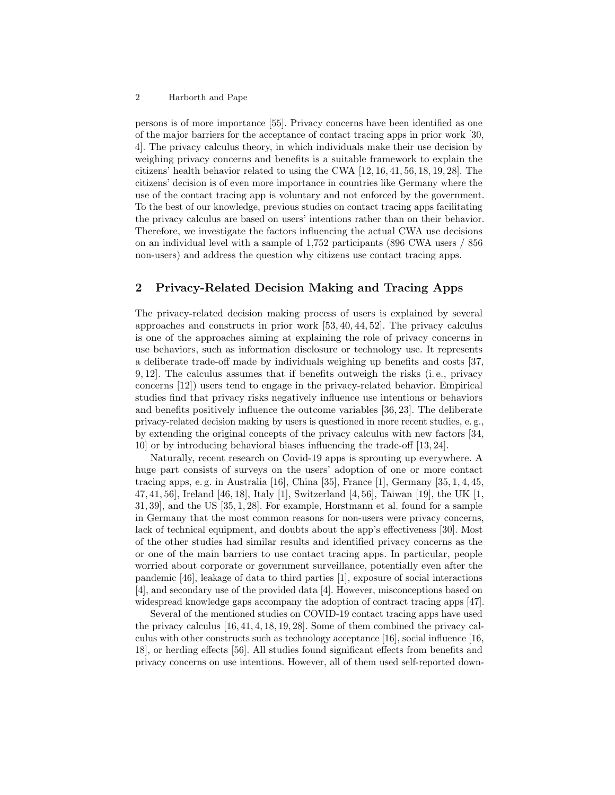persons is of more importance [55]. Privacy concerns have been identified as one of the major barriers for the acceptance of contact tracing apps in prior work [30, 4]. The privacy calculus theory, in which individuals make their use decision by weighing privacy concerns and benefits is a suitable framework to explain the citizens' health behavior related to using the CWA [12, 16, 41, 56, 18, 19, 28]. The citizens' decision is of even more importance in countries like Germany where the use of the contact tracing app is voluntary and not enforced by the government. To the best of our knowledge, previous studies on contact tracing apps facilitating the privacy calculus are based on users' intentions rather than on their behavior. Therefore, we investigate the factors influencing the actual CWA use decisions on an individual level with a sample of 1,752 participants (896 CWA users / 856 non-users) and address the question why citizens use contact tracing apps.

# 2 Privacy-Related Decision Making and Tracing Apps

The privacy-related decision making process of users is explained by several approaches and constructs in prior work [53, 40, 44, 52]. The privacy calculus is one of the approaches aiming at explaining the role of privacy concerns in use behaviors, such as information disclosure or technology use. It represents a deliberate trade-off made by individuals weighing up benefits and costs [37, 9, 12]. The calculus assumes that if benefits outweigh the risks (i. e., privacy concerns [12]) users tend to engage in the privacy-related behavior. Empirical studies find that privacy risks negatively influence use intentions or behaviors and benefits positively influence the outcome variables [36, 23]. The deliberate privacy-related decision making by users is questioned in more recent studies, e. g., by extending the original concepts of the privacy calculus with new factors [34, 10] or by introducing behavioral biases influencing the trade-off [13, 24].

Naturally, recent research on Covid-19 apps is sprouting up everywhere. A huge part consists of surveys on the users' adoption of one or more contact tracing apps, e. g. in Australia [16], China [35], France [1], Germany [35, 1, 4, 45, 47, 41, 56], Ireland [46, 18], Italy [1], Switzerland [4, 56], Taiwan [19], the UK [1, 31, 39], and the US [35, 1, 28]. For example, Horstmann et al. found for a sample in Germany that the most common reasons for non-users were privacy concerns, lack of technical equipment, and doubts about the app's effectiveness [30]. Most of the other studies had similar results and identified privacy concerns as the or one of the main barriers to use contact tracing apps. In particular, people worried about corporate or government surveillance, potentially even after the pandemic [46], leakage of data to third parties [1], exposure of social interactions [4], and secondary use of the provided data [4]. However, misconceptions based on widespread knowledge gaps accompany the adoption of contract tracing apps [47].

Several of the mentioned studies on COVID-19 contact tracing apps have used the privacy calculus [16, 41, 4, 18, 19, 28]. Some of them combined the privacy calculus with other constructs such as technology acceptance [16], social influence [16, 18], or herding effects [56]. All studies found significant effects from benefits and privacy concerns on use intentions. However, all of them used self-reported down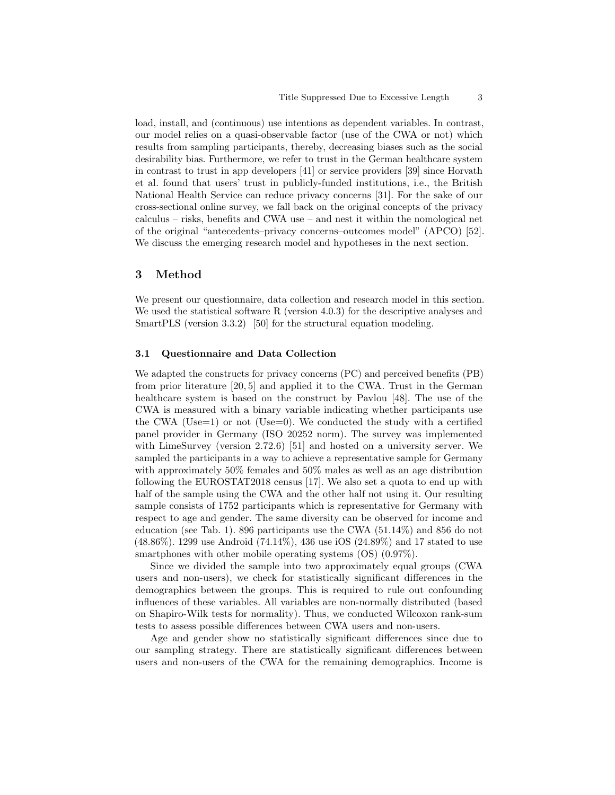load, install, and (continuous) use intentions as dependent variables. In contrast, our model relies on a quasi-observable factor (use of the CWA or not) which results from sampling participants, thereby, decreasing biases such as the social desirability bias. Furthermore, we refer to trust in the German healthcare system in contrast to trust in app developers [41] or service providers [39] since Horvath et al. found that users' trust in publicly-funded institutions, i.e., the British National Health Service can reduce privacy concerns [31]. For the sake of our cross-sectional online survey, we fall back on the original concepts of the privacy calculus – risks, benefits and CWA use – and nest it within the nomological net of the original "antecedents–privacy concerns–outcomes model" (APCO) [52]. We discuss the emerging research model and hypotheses in the next section.

# 3 Method

We present our questionnaire, data collection and research model in this section. We used the statistical software R (version 4.0.3) for the descriptive analyses and SmartPLS (version 3.3.2) [50] for the structural equation modeling.

### 3.1 Questionnaire and Data Collection

We adapted the constructs for privacy concerns (PC) and perceived benefits (PB) from prior literature [20, 5] and applied it to the CWA. Trust in the German healthcare system is based on the construct by Pavlou [48]. The use of the CWA is measured with a binary variable indicating whether participants use the CWA (Use=1) or not (Use=0). We conducted the study with a certified panel provider in Germany (ISO 20252 norm). The survey was implemented with LimeSurvey (version 2.72.6) [51] and hosted on a university server. We sampled the participants in a way to achieve a representative sample for Germany with approximately 50% females and 50% males as well as an age distribution following the EUROSTAT2018 census [17]. We also set a quota to end up with half of the sample using the CWA and the other half not using it. Our resulting sample consists of 1752 participants which is representative for Germany with respect to age and gender. The same diversity can be observed for income and education (see Tab. 1). 896 participants use the CWA (51.14%) and 856 do not (48.86%). 1299 use Android (74.14%), 436 use iOS (24.89%) and 17 stated to use smartphones with other mobile operating systems  $OS(0.97\%).$ 

Since we divided the sample into two approximately equal groups (CWA users and non-users), we check for statistically significant differences in the demographics between the groups. This is required to rule out confounding influences of these variables. All variables are non-normally distributed (based on Shapiro-Wilk tests for normality). Thus, we conducted Wilcoxon rank-sum tests to assess possible differences between CWA users and non-users.

Age and gender show no statistically significant differences since due to our sampling strategy. There are statistically significant differences between users and non-users of the CWA for the remaining demographics. Income is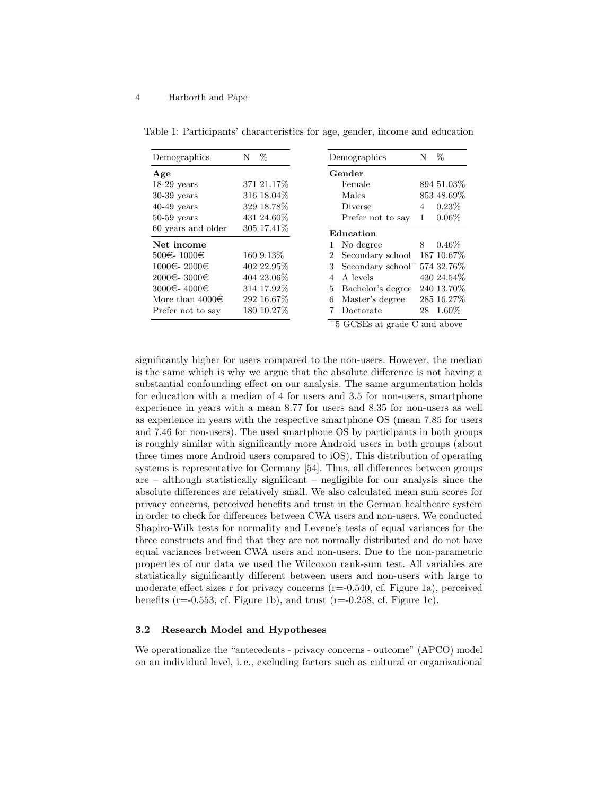| Demographics        | $\%$<br>N   | Demographics                                     | %<br>N        |
|---------------------|-------------|--------------------------------------------------|---------------|
| Age                 |             | Gender                                           |               |
| $18-29$ years       | 371 21.17%  | Female                                           | 894 51.03%    |
| $30-39$ years       | 316 18.04\% | Males                                            | 853 48.69%    |
| $40-49$ years       | 329 18.78%  | <b>Diverse</b>                                   | $0.23\%$<br>4 |
| $50-59$ years       | 431 24.60%  | Prefer not to say                                | $0.06\%$<br>1 |
| 60 years and older  | 305 17.41\% | Education                                        |               |
| Net income          |             | No degree<br>1                                   | $0.46\%$<br>8 |
| $500€-1000€$        | 160 9.13%   | Secondary school<br>2                            | 187 10.67%    |
| $1000€-2000€$       | 402 22.95%  | Secondary school <sup>+</sup> 574 32.76 $%$<br>3 |               |
| 2000€-3000€         | 404 23.06\% | A levels<br>$\overline{4}$                       | 430 24.54%    |
| 3000€-4000€         | 314 17.92%  | 5<br>Bachelor's degree                           | 240 13.70%    |
| More than $4000\in$ | 292 16.67%  | Master's degree<br>6                             | 285 16.27%    |
| Prefer not to say   | 180 10.27%  | Doctorate                                        | 28 1.60\%     |
|                     |             | <sup>+</sup> 5 GCSEs at grade C and above        |               |

Table 1: Participants' characteristics for age, gender, income and education

significantly higher for users compared to the non-users. However, the median is the same which is why we argue that the absolute difference is not having a substantial confounding effect on our analysis. The same argumentation holds for education with a median of 4 for users and 3.5 for non-users, smartphone experience in years with a mean 8.77 for users and 8.35 for non-users as well as experience in years with the respective smartphone OS (mean 7.85 for users and 7.46 for non-users). The used smartphone OS by participants in both groups is roughly similar with significantly more Android users in both groups (about three times more Android users compared to iOS). This distribution of operating systems is representative for Germany [54]. Thus, all differences between groups are – although statistically significant – negligible for our analysis since the absolute differences are relatively small. We also calculated mean sum scores for privacy concerns, perceived benefits and trust in the German healthcare system in order to check for differences between CWA users and non-users. We conducted Shapiro-Wilk tests for normality and Levene's tests of equal variances for the three constructs and find that they are not normally distributed and do not have equal variances between CWA users and non-users. Due to the non-parametric properties of our data we used the Wilcoxon rank-sum test. All variables are statistically significantly different between users and non-users with large to moderate effect sizes r for privacy concerns  $(r=0.540, cf.$  Figure 1a), perceived benefits ( $r=-0.553$ , cf. Figure 1b), and trust ( $r=-0.258$ , cf. Figure 1c).

### 3.2 Research Model and Hypotheses

We operationalize the "antecedents - privacy concerns - outcome" (APCO) model on an individual level, i. e., excluding factors such as cultural or organizational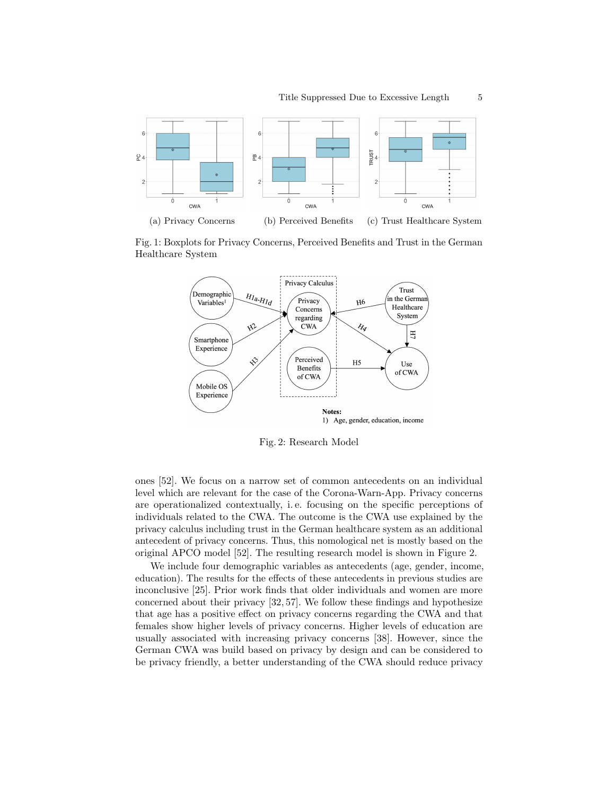

Fig. 1: Boxplots for Privacy Concerns, Perceived Benefits and Trust in the German Healthcare System



Fig. 2: Research Model

ones [52]. We focus on a narrow set of common antecedents on an individual level which are relevant for the case of the Corona-Warn-App. Privacy concerns are operationalized contextually, i. e. focusing on the specific perceptions of individuals related to the CWA. The outcome is the CWA use explained by the privacy calculus including trust in the German healthcare system as an additional antecedent of privacy concerns. Thus, this nomological net is mostly based on the original APCO model [52]. The resulting research model is shown in Figure 2.

We include four demographic variables as antecedents (age, gender, income, education). The results for the effects of these antecedents in previous studies are inconclusive [25]. Prior work finds that older individuals and women are more concerned about their privacy [32, 57]. We follow these findings and hypothesize that age has a positive effect on privacy concerns regarding the CWA and that females show higher levels of privacy concerns. Higher levels of education are usually associated with increasing privacy concerns [38]. However, since the German CWA was build based on privacy by design and can be considered to be privacy friendly, a better understanding of the CWA should reduce privacy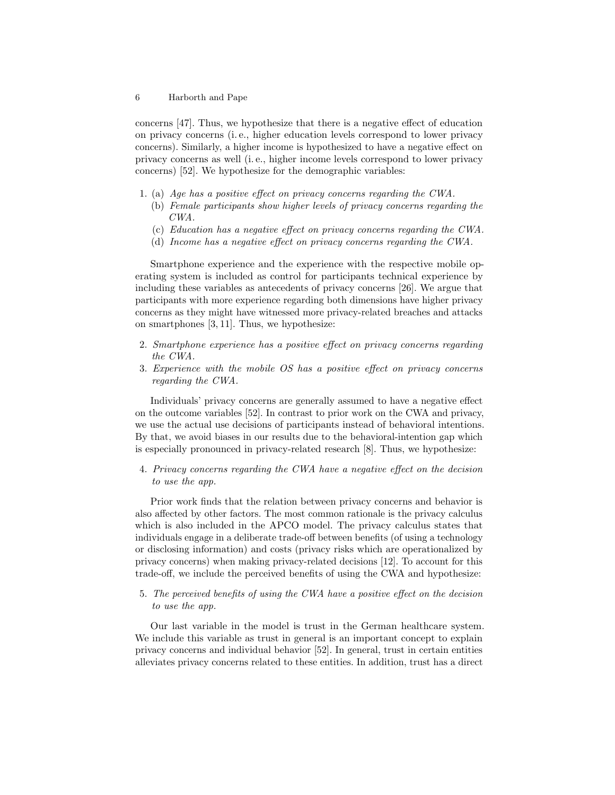concerns [47]. Thus, we hypothesize that there is a negative effect of education on privacy concerns (i. e., higher education levels correspond to lower privacy concerns). Similarly, a higher income is hypothesized to have a negative effect on privacy concerns as well (i. e., higher income levels correspond to lower privacy concerns) [52]. We hypothesize for the demographic variables:

- 1. (a) Age has a positive effect on privacy concerns regarding the CWA.
	- (b) Female participants show higher levels of privacy concerns regarding the CWA.
	- (c) Education has a negative effect on privacy concerns regarding the CWA.
	- (d) Income has a negative effect on privacy concerns regarding the CWA.

Smartphone experience and the experience with the respective mobile operating system is included as control for participants technical experience by including these variables as antecedents of privacy concerns [26]. We argue that participants with more experience regarding both dimensions have higher privacy concerns as they might have witnessed more privacy-related breaches and attacks on smartphones [3, 11]. Thus, we hypothesize:

- 2. Smartphone experience has a positive effect on privacy concerns regarding the CWA.
- 3. Experience with the mobile OS has a positive effect on privacy concerns regarding the CWA.

Individuals' privacy concerns are generally assumed to have a negative effect on the outcome variables [52]. In contrast to prior work on the CWA and privacy, we use the actual use decisions of participants instead of behavioral intentions. By that, we avoid biases in our results due to the behavioral-intention gap which is especially pronounced in privacy-related research [8]. Thus, we hypothesize:

4. Privacy concerns regarding the CWA have a negative effect on the decision to use the app.

Prior work finds that the relation between privacy concerns and behavior is also affected by other factors. The most common rationale is the privacy calculus which is also included in the APCO model. The privacy calculus states that individuals engage in a deliberate trade-off between benefits (of using a technology or disclosing information) and costs (privacy risks which are operationalized by privacy concerns) when making privacy-related decisions [12]. To account for this trade-off, we include the perceived benefits of using the CWA and hypothesize:

5. The perceived benefits of using the CWA have a positive effect on the decision to use the app.

Our last variable in the model is trust in the German healthcare system. We include this variable as trust in general is an important concept to explain privacy concerns and individual behavior [52]. In general, trust in certain entities alleviates privacy concerns related to these entities. In addition, trust has a direct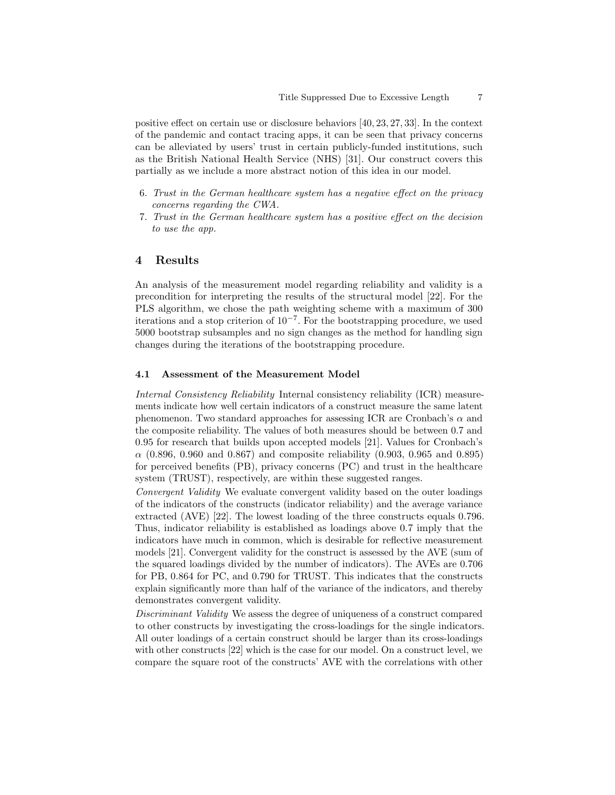positive effect on certain use or disclosure behaviors [40, 23, 27, 33]. In the context of the pandemic and contact tracing apps, it can be seen that privacy concerns can be alleviated by users' trust in certain publicly-funded institutions, such as the British National Health Service (NHS) [31]. Our construct covers this partially as we include a more abstract notion of this idea in our model.

- 6. Trust in the German healthcare system has a negative effect on the privacy concerns regarding the CWA.
- 7. Trust in the German healthcare system has a positive effect on the decision to use the app.

### 4 Results

An analysis of the measurement model regarding reliability and validity is a precondition for interpreting the results of the structural model [22]. For the PLS algorithm, we chose the path weighting scheme with a maximum of 300 iterations and a stop criterion of 10<sup>−</sup><sup>7</sup> . For the bootstrapping procedure, we used 5000 bootstrap subsamples and no sign changes as the method for handling sign changes during the iterations of the bootstrapping procedure.

### 4.1 Assessment of the Measurement Model

Internal Consistency Reliability Internal consistency reliability (ICR) measurements indicate how well certain indicators of a construct measure the same latent phenomenon. Two standard approaches for assessing ICR are Cronbach's  $\alpha$  and the composite reliability. The values of both measures should be between 0.7 and 0.95 for research that builds upon accepted models [21]. Values for Cronbach's  $\alpha$  (0.896, 0.960 and 0.867) and composite reliability (0.903, 0.965 and 0.895) for perceived benefits (PB), privacy concerns (PC) and trust in the healthcare system (TRUST), respectively, are within these suggested ranges.

Convergent Validity We evaluate convergent validity based on the outer loadings of the indicators of the constructs (indicator reliability) and the average variance extracted (AVE) [22]. The lowest loading of the three constructs equals 0.796. Thus, indicator reliability is established as loadings above 0.7 imply that the indicators have much in common, which is desirable for reflective measurement models [21]. Convergent validity for the construct is assessed by the AVE (sum of the squared loadings divided by the number of indicators). The AVEs are 0.706 for PB, 0.864 for PC, and 0.790 for TRUST. This indicates that the constructs explain significantly more than half of the variance of the indicators, and thereby demonstrates convergent validity.

Discriminant Validity We assess the degree of uniqueness of a construct compared to other constructs by investigating the cross-loadings for the single indicators. All outer loadings of a certain construct should be larger than its cross-loadings with other constructs [22] which is the case for our model. On a construct level, we compare the square root of the constructs' AVE with the correlations with other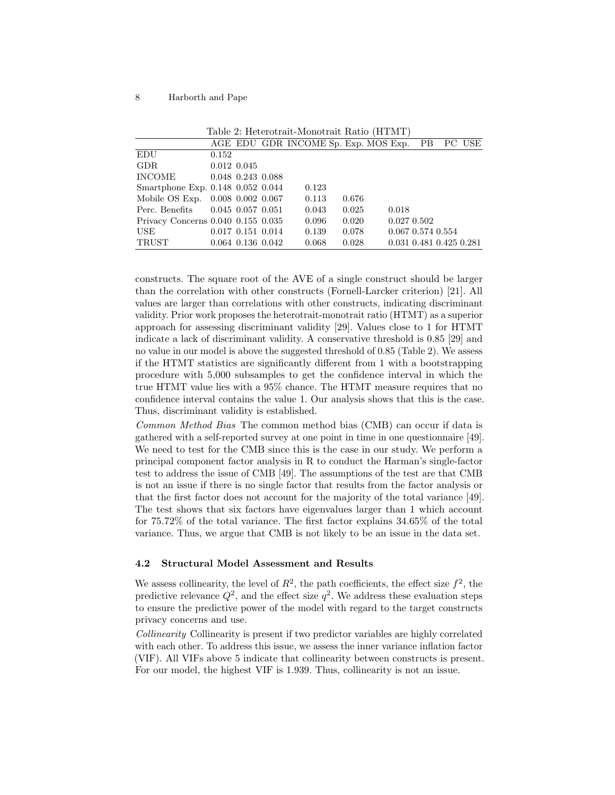|                                    |             |                         |       |       | Table 2: Heterotrait-Monotrait Ratio (HTMT) |                         |     |      |
|------------------------------------|-------------|-------------------------|-------|-------|---------------------------------------------|-------------------------|-----|------|
|                                    |             |                         |       |       | AGE EDU GDR INCOME Sp. Exp. MOS Exp.        | <b>PB</b>               | PC. | USE. |
| <b>EDU</b>                         | 0.152       |                         |       |       |                                             |                         |     |      |
| <b>GDR</b>                         | 0.012 0.045 |                         |       |       |                                             |                         |     |      |
| <b>INCOME</b>                      |             | 0.048 0.243 0.088       |       |       |                                             |                         |     |      |
| Smartphone Exp. 0.148 0.052 0.044  |             |                         | 0.123 |       |                                             |                         |     |      |
| Mobile OS Exp.                     |             | $0.008$ $0.002$ $0.067$ | 0.113 | 0.676 |                                             |                         |     |      |
| Perc. Benefits                     |             | $0.045$ $0.057$ $0.051$ | 0.043 | 0.025 | 0.018                                       |                         |     |      |
| Privacy Concerns 0.040 0.155 0.035 |             |                         | 0.096 | 0.020 |                                             | 0.027 0.502             |     |      |
| USE                                |             | $0.017$ $0.151$ $0.014$ | 0.139 | 0.078 |                                             | 0.067 0.574 0.554       |     |      |
| TRUST                              |             | 0.064 0.136 0.042       | 0.068 | 0.028 |                                             | 0.031 0.481 0.425 0.281 |     |      |

constructs. The square root of the AVE of a single construct should be larger than the correlation with other constructs (Fornell-Larcker criterion) [21]. All values are larger than correlations with other constructs, indicating discriminant validity. Prior work proposes the heterotrait-monotrait ratio (HTMT) as a superior approach for assessing discriminant validity [29]. Values close to 1 for HTMT indicate a lack of discriminant validity. A conservative threshold is 0.85 [29] and no value in our model is above the suggested threshold of 0.85 (Table 2). We assess if the HTMT statistics are significantly different from 1 with a bootstrapping procedure with 5,000 subsamples to get the confidence interval in which the true HTMT value lies with a 95% chance. The HTMT measure requires that no confidence interval contains the value 1. Our analysis shows that this is the case. Thus, discriminant validity is established.

Common Method Bias The common method bias (CMB) can occur if data is gathered with a self-reported survey at one point in time in one questionnaire [49]. We need to test for the CMB since this is the case in our study. We perform a principal component factor analysis in R to conduct the Harman's single-factor test to address the issue of CMB [49]. The assumptions of the test are that CMB is not an issue if there is no single factor that results from the factor analysis or that the first factor does not account for the majority of the total variance [49]. The test shows that six factors have eigenvalues larger than 1 which account for 75.72% of the total variance. The first factor explains 34.65% of the total variance. Thus, we argue that CMB is not likely to be an issue in the data set.

#### 4.2 Structural Model Assessment and Results

We assess collinearity, the level of  $R^2$ , the path coefficients, the effect size  $f^2$ , the predictive relevance  $Q^2$ , and the effect size  $q^2$ . We address these evaluation steps to ensure the predictive power of the model with regard to the target constructs privacy concerns and use.

Collinearity Collinearity is present if two predictor variables are highly correlated with each other. To address this issue, we assess the inner variance inflation factor (VIF). All VIFs above 5 indicate that collinearity between constructs is present. For our model, the highest VIF is 1.939. Thus, collinearity is not an issue.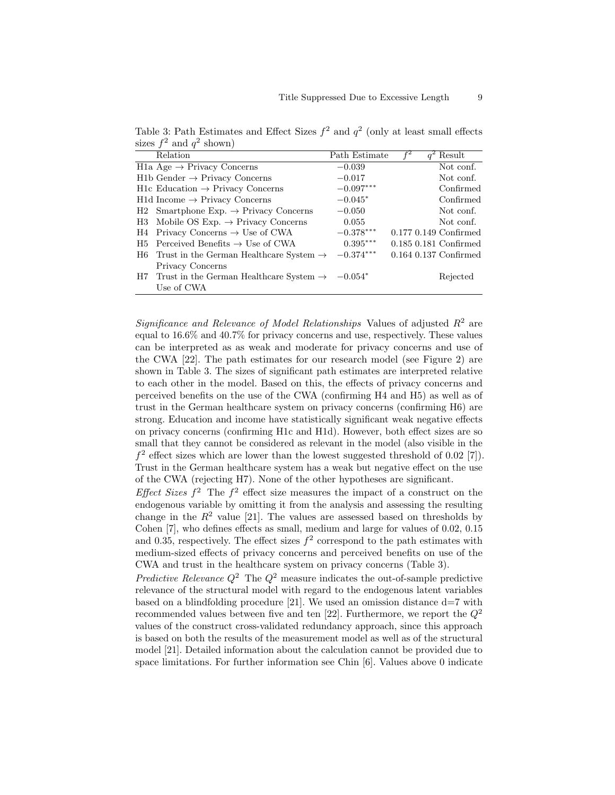Table 3: Path Estimates and Effect Sizes  $f^2$  and  $q^2$  (only at least small effects sizes  $f^2$  and  $q^2$  shown)

| Relation                                      | Path Estimate                                                                                                                                                                                                                                              |                                                                                                                     | $q^2$ Result                                                                  |
|-----------------------------------------------|------------------------------------------------------------------------------------------------------------------------------------------------------------------------------------------------------------------------------------------------------------|---------------------------------------------------------------------------------------------------------------------|-------------------------------------------------------------------------------|
|                                               | $-0.039$                                                                                                                                                                                                                                                   |                                                                                                                     | Not conf.                                                                     |
|                                               | $-0.017$                                                                                                                                                                                                                                                   |                                                                                                                     | Not conf.                                                                     |
|                                               | $-0.097***$                                                                                                                                                                                                                                                |                                                                                                                     | Confirmed                                                                     |
|                                               | $-0.045*$                                                                                                                                                                                                                                                  |                                                                                                                     | Confirmed                                                                     |
|                                               | $-0.050$                                                                                                                                                                                                                                                   |                                                                                                                     | Not conf.                                                                     |
| Mobile OS Exp. $\rightarrow$ Privacy Concerns | 0.055                                                                                                                                                                                                                                                      |                                                                                                                     | Not conf.                                                                     |
| Privacy Concerns $\rightarrow$ Use of CWA     | $-0.378***$                                                                                                                                                                                                                                                |                                                                                                                     |                                                                               |
| Perceived Benefits $\rightarrow$ Use of CWA   | $0.395***$                                                                                                                                                                                                                                                 |                                                                                                                     |                                                                               |
|                                               | $-0.374***$                                                                                                                                                                                                                                                |                                                                                                                     |                                                                               |
| Privacy Concerns                              |                                                                                                                                                                                                                                                            |                                                                                                                     |                                                                               |
|                                               |                                                                                                                                                                                                                                                            |                                                                                                                     | Rejected                                                                      |
| Use of CWA                                    |                                                                                                                                                                                                                                                            |                                                                                                                     |                                                                               |
|                                               | H <sub>1</sub> a Age $\rightarrow$ Privacy Concerns<br>$H1b$ Gender $\rightarrow$ Privacy Concerns<br>$H1c$ Education $\rightarrow$ Privacy Concerns<br>$H1d$ Income $\rightarrow$ Privacy Concerns<br>$H2$ Smartphone Exp. $\rightarrow$ Privacy Concerns | Trust in the German Healthcare System $\rightarrow$<br>Trust in the German Healthcare System $\rightarrow -0.054^*$ | $0.177$ 0.149 Confirmed<br>$0.185$ 0.181 Confirmed<br>$0.164$ 0.137 Confirmed |

Significance and Relevance of Model Relationships Values of adjusted  $R^2$  are equal to 16.6% and 40.7% for privacy concerns and use, respectively. These values can be interpreted as as weak and moderate for privacy concerns and use of the CWA [22]. The path estimates for our research model (see Figure 2) are shown in Table 3. The sizes of significant path estimates are interpreted relative to each other in the model. Based on this, the effects of privacy concerns and perceived benefits on the use of the CWA (confirming H4 and H5) as well as of trust in the German healthcare system on privacy concerns (confirming H6) are strong. Education and income have statistically significant weak negative effects on privacy concerns (confirming H1c and H1d). However, both effect sizes are so small that they cannot be considered as relevant in the model (also visible in the  $f<sup>2</sup>$  effect sizes which are lower than the lowest suggested threshold of 0.02 [7]). Trust in the German healthcare system has a weak but negative effect on the use of the CWA (rejecting H7). None of the other hypotheses are significant.

*Effect Sizes*  $f^2$  The  $f^2$  effect size measures the impact of a construct on the endogenous variable by omitting it from the analysis and assessing the resulting change in the  $R^2$  value [21]. The values are assessed based on thresholds by Cohen [7], who defines effects as small, medium and large for values of 0.02, 0.15 and 0.35, respectively. The effect sizes  $f^2$  correspond to the path estimates with medium-sized effects of privacy concerns and perceived benefits on use of the CWA and trust in the healthcare system on privacy concerns (Table 3).

Predictive Relevance  $Q^2$  The  $Q^2$  measure indicates the out-of-sample predictive relevance of the structural model with regard to the endogenous latent variables based on a blindfolding procedure [21]. We used an omission distance  $d=7$  with recommended values between five and ten [22]. Furthermore, we report the  $Q^2$ values of the construct cross-validated redundancy approach, since this approach is based on both the results of the measurement model as well as of the structural model [21]. Detailed information about the calculation cannot be provided due to space limitations. For further information see Chin [6]. Values above 0 indicate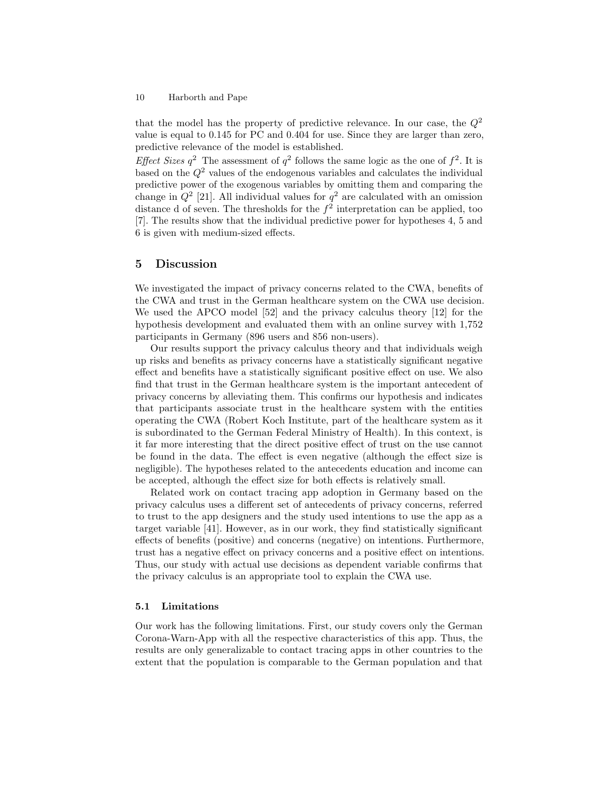that the model has the property of predictive relevance. In our case, the  $Q^2$ value is equal to 0.145 for PC and 0.404 for use. Since they are larger than zero, predictive relevance of the model is established.

*Effect Sizes*  $q^2$  The assessment of  $q^2$  follows the same logic as the one of  $f^2$ . It is based on the  $Q<sup>2</sup>$  values of the endogenous variables and calculates the individual predictive power of the exogenous variables by omitting them and comparing the change in  $Q^2$  [21]. All individual values for  $q^2$  are calculated with an omission distance d of seven. The thresholds for the  $f^2$  interpretation can be applied, too [7]. The results show that the individual predictive power for hypotheses 4, 5 and 6 is given with medium-sized effects.

## 5 Discussion

We investigated the impact of privacy concerns related to the CWA, benefits of the CWA and trust in the German healthcare system on the CWA use decision. We used the APCO model [52] and the privacy calculus theory [12] for the hypothesis development and evaluated them with an online survey with 1,752 participants in Germany (896 users and 856 non-users).

Our results support the privacy calculus theory and that individuals weigh up risks and benefits as privacy concerns have a statistically significant negative effect and benefits have a statistically significant positive effect on use. We also find that trust in the German healthcare system is the important antecedent of privacy concerns by alleviating them. This confirms our hypothesis and indicates that participants associate trust in the healthcare system with the entities operating the CWA (Robert Koch Institute, part of the healthcare system as it is subordinated to the German Federal Ministry of Health). In this context, is it far more interesting that the direct positive effect of trust on the use cannot be found in the data. The effect is even negative (although the effect size is negligible). The hypotheses related to the antecedents education and income can be accepted, although the effect size for both effects is relatively small.

Related work on contact tracing app adoption in Germany based on the privacy calculus uses a different set of antecedents of privacy concerns, referred to trust to the app designers and the study used intentions to use the app as a target variable [41]. However, as in our work, they find statistically significant effects of benefits (positive) and concerns (negative) on intentions. Furthermore, trust has a negative effect on privacy concerns and a positive effect on intentions. Thus, our study with actual use decisions as dependent variable confirms that the privacy calculus is an appropriate tool to explain the CWA use.

### 5.1 Limitations

Our work has the following limitations. First, our study covers only the German Corona-Warn-App with all the respective characteristics of this app. Thus, the results are only generalizable to contact tracing apps in other countries to the extent that the population is comparable to the German population and that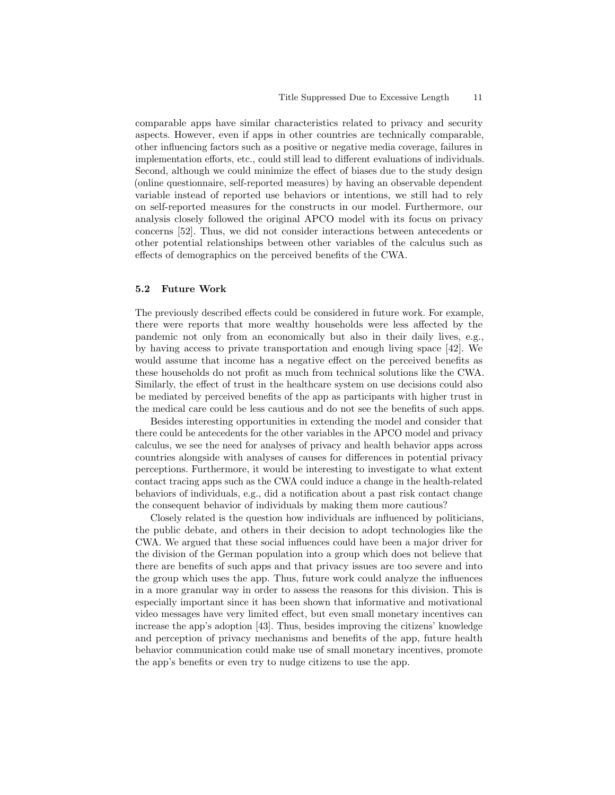comparable apps have similar characteristics related to privacy and security aspects. However, even if apps in other countries are technically comparable, other influencing factors such as a positive or negative media coverage, failures in implementation efforts, etc., could still lead to different evaluations of individuals. Second, although we could minimize the effect of biases due to the study design (online questionnaire, self-reported measures) by having an observable dependent variable instead of reported use behaviors or intentions, we still had to rely on self-reported measures for the constructs in our model. Furthermore, our analysis closely followed the original APCO model with its focus on privacy concerns [52]. Thus, we did not consider interactions between antecedents or other potential relationships between other variables of the calculus such as effects of demographics on the perceived benefits of the CWA.

### 5.2 Future Work

The previously described effects could be considered in future work. For example, there were reports that more wealthy households were less affected by the pandemic not only from an economically but also in their daily lives, e.g., by having access to private transportation and enough living space [42]. We would assume that income has a negative effect on the perceived benefits as these households do not profit as much from technical solutions like the CWA. Similarly, the effect of trust in the healthcare system on use decisions could also be mediated by perceived benefits of the app as participants with higher trust in the medical care could be less cautious and do not see the benefits of such apps.

Besides interesting opportunities in extending the model and consider that there could be antecedents for the other variables in the APCO model and privacy calculus, we see the need for analyses of privacy and health behavior apps across countries alongside with analyses of causes for differences in potential privacy perceptions. Furthermore, it would be interesting to investigate to what extent contact tracing apps such as the CWA could induce a change in the health-related behaviors of individuals, e.g., did a notification about a past risk contact change the consequent behavior of individuals by making them more cautious?

Closely related is the question how individuals are influenced by politicians, the public debate, and others in their decision to adopt technologies like the CWA. We argued that these social influences could have been a major driver for the division of the German population into a group which does not believe that there are benefits of such apps and that privacy issues are too severe and into the group which uses the app. Thus, future work could analyze the influences in a more granular way in order to assess the reasons for this division. This is especially important since it has been shown that informative and motivational video messages have very limited effect, but even small monetary incentives can increase the app's adoption [43]. Thus, besides improving the citizens' knowledge and perception of privacy mechanisms and benefits of the app, future health behavior communication could make use of small monetary incentives, promote the app's benefits or even try to nudge citizens to use the app.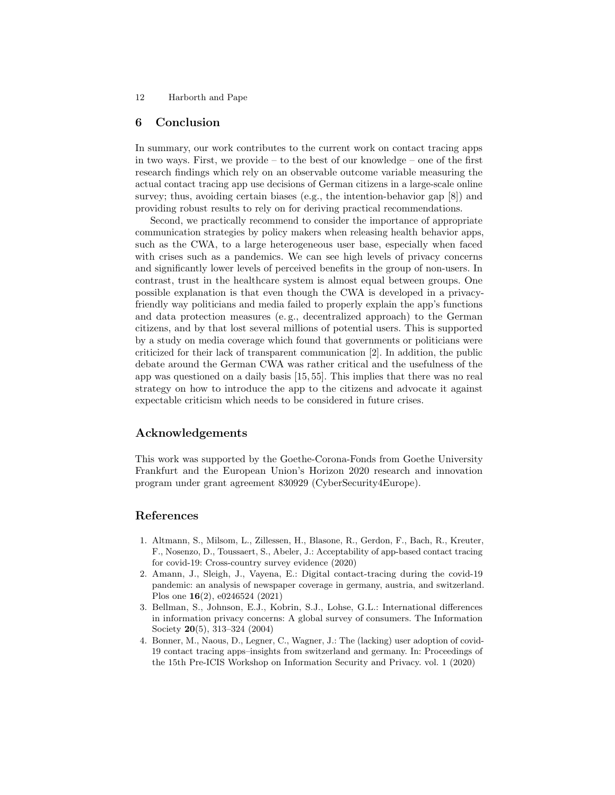### 6 Conclusion

In summary, our work contributes to the current work on contact tracing apps in two ways. First, we provide – to the best of our knowledge – one of the first research findings which rely on an observable outcome variable measuring the actual contact tracing app use decisions of German citizens in a large-scale online survey; thus, avoiding certain biases (e.g., the intention-behavior gap [8]) and providing robust results to rely on for deriving practical recommendations.

Second, we practically recommend to consider the importance of appropriate communication strategies by policy makers when releasing health behavior apps, such as the CWA, to a large heterogeneous user base, especially when faced with crises such as a pandemics. We can see high levels of privacy concerns and significantly lower levels of perceived benefits in the group of non-users. In contrast, trust in the healthcare system is almost equal between groups. One possible explanation is that even though the CWA is developed in a privacyfriendly way politicians and media failed to properly explain the app's functions and data protection measures (e. g., decentralized approach) to the German citizens, and by that lost several millions of potential users. This is supported by a study on media coverage which found that governments or politicians were criticized for their lack of transparent communication [2]. In addition, the public debate around the German CWA was rather critical and the usefulness of the app was questioned on a daily basis [15, 55]. This implies that there was no real strategy on how to introduce the app to the citizens and advocate it against expectable criticism which needs to be considered in future crises.

# Acknowledgements

This work was supported by the Goethe-Corona-Fonds from Goethe University Frankfurt and the European Union's Horizon 2020 research and innovation program under grant agreement 830929 (CyberSecurity4Europe).

# References

- 1. Altmann, S., Milsom, L., Zillessen, H., Blasone, R., Gerdon, F., Bach, R., Kreuter, F., Nosenzo, D., Toussaert, S., Abeler, J.: Acceptability of app-based contact tracing for covid-19: Cross-country survey evidence (2020)
- 2. Amann, J., Sleigh, J., Vayena, E.: Digital contact-tracing during the covid-19 pandemic: an analysis of newspaper coverage in germany, austria, and switzerland. Plos one 16(2), e0246524 (2021)
- 3. Bellman, S., Johnson, E.J., Kobrin, S.J., Lohse, G.L.: International differences in information privacy concerns: A global survey of consumers. The Information Society 20(5), 313–324 (2004)
- 4. Bonner, M., Naous, D., Legner, C., Wagner, J.: The (lacking) user adoption of covid-19 contact tracing apps–insights from switzerland and germany. In: Proceedings of the 15th Pre-ICIS Workshop on Information Security and Privacy. vol. 1 (2020)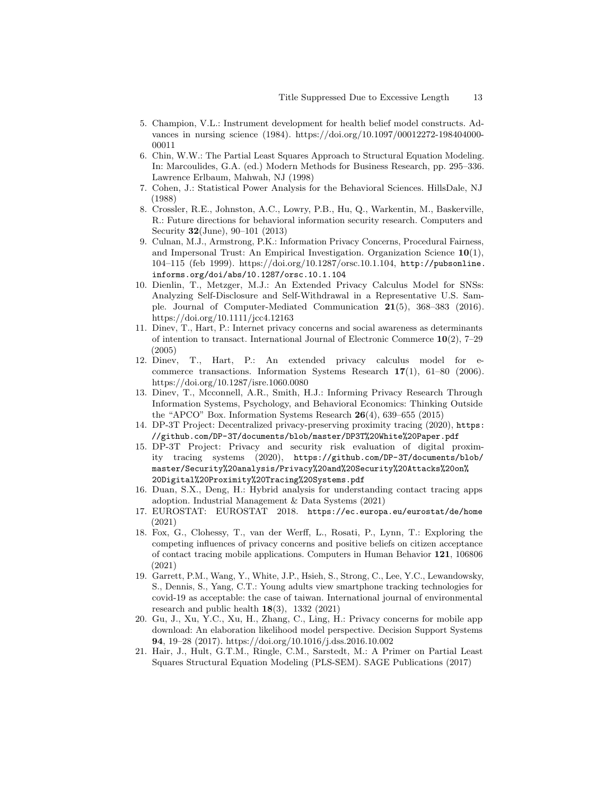- 5. Champion, V.L.: Instrument development for health belief model constructs. Advances in nursing science (1984). https://doi.org/10.1097/00012272-198404000- 00011
- 6. Chin, W.W.: The Partial Least Squares Approach to Structural Equation Modeling. In: Marcoulides, G.A. (ed.) Modern Methods for Business Research, pp. 295–336. Lawrence Erlbaum, Mahwah, NJ (1998)
- 7. Cohen, J.: Statistical Power Analysis for the Behavioral Sciences. HillsDale, NJ (1988)
- 8. Crossler, R.E., Johnston, A.C., Lowry, P.B., Hu, Q., Warkentin, M., Baskerville, R.: Future directions for behavioral information security research. Computers and Security 32(June), 90–101 (2013)
- 9. Culnan, M.J., Armstrong, P.K.: Information Privacy Concerns, Procedural Fairness, and Impersonal Trust: An Empirical Investigation. Organization Science 10(1), 104–115 (feb 1999). https://doi.org/10.1287/orsc.10.1.104, http://pubsonline. informs.org/doi/abs/10.1287/orsc.10.1.104
- 10. Dienlin, T., Metzger, M.J.: An Extended Privacy Calculus Model for SNSs: Analyzing Self-Disclosure and Self-Withdrawal in a Representative U.S. Sample. Journal of Computer-Mediated Communication 21(5), 368–383 (2016). https://doi.org/10.1111/jcc4.12163
- 11. Dinev, T., Hart, P.: Internet privacy concerns and social awareness as determinants of intention to transact. International Journal of Electronic Commerce  $10(2)$ , 7–29 (2005)
- 12. Dinev, T., Hart, P.: An extended privacy calculus model for ecommerce transactions. Information Systems Research 17(1), 61–80 (2006). https://doi.org/10.1287/isre.1060.0080
- 13. Dinev, T., Mcconnell, A.R., Smith, H.J.: Informing Privacy Research Through Information Systems, Psychology, and Behavioral Economics: Thinking Outside the "APCO" Box. Information Systems Research 26(4), 639–655 (2015)
- 14. DP-3T Project: Decentralized privacy-preserving proximity tracing (2020), https: //github.com/DP-3T/documents/blob/master/DP3T%20White%20Paper.pdf
- 15. DP-3T Project: Privacy and security risk evaluation of digital proximity tracing systems (2020), https://github.com/DP-3T/documents/blob/ master/Security%20analysis/Privacy%20and%20Security%20Attacks%20on% 20Digital%20Proximity%20Tracing%20Systems.pdf
- 16. Duan, S.X., Deng, H.: Hybrid analysis for understanding contact tracing apps adoption. Industrial Management & Data Systems (2021)
- 17. EUROSTAT: EUROSTAT 2018. https://ec.europa.eu/eurostat/de/home (2021)
- 18. Fox, G., Clohessy, T., van der Werff, L., Rosati, P., Lynn, T.: Exploring the competing influences of privacy concerns and positive beliefs on citizen acceptance of contact tracing mobile applications. Computers in Human Behavior 121, 106806 (2021)
- 19. Garrett, P.M., Wang, Y., White, J.P., Hsieh, S., Strong, C., Lee, Y.C., Lewandowsky, S., Dennis, S., Yang, C.T.: Young adults view smartphone tracking technologies for covid-19 as acceptable: the case of taiwan. International journal of environmental research and public health  $18(3)$ , 1332 (2021)
- 20. Gu, J., Xu, Y.C., Xu, H., Zhang, C., Ling, H.: Privacy concerns for mobile app download: An elaboration likelihood model perspective. Decision Support Systems 94, 19–28 (2017). https://doi.org/10.1016/j.dss.2016.10.002
- 21. Hair, J., Hult, G.T.M., Ringle, C.M., Sarstedt, M.: A Primer on Partial Least Squares Structural Equation Modeling (PLS-SEM). SAGE Publications (2017)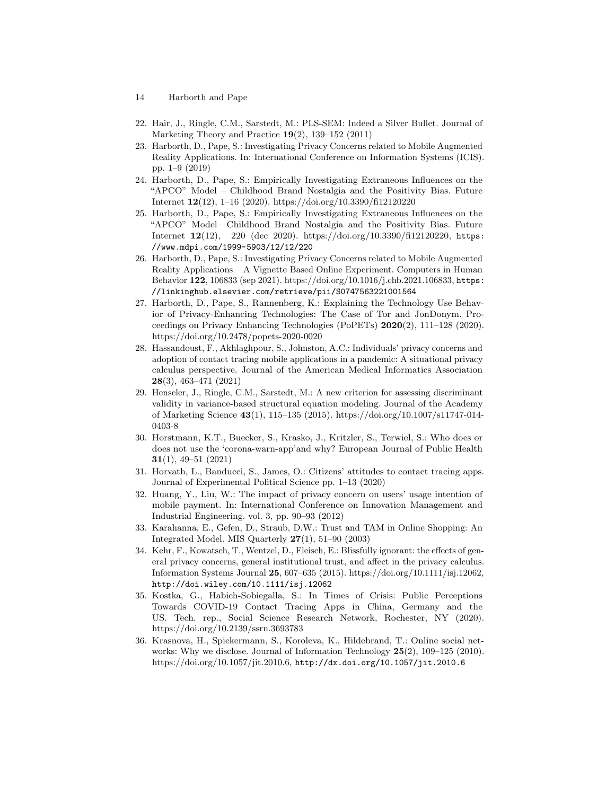- 14 Harborth and Pape
- 22. Hair, J., Ringle, C.M., Sarstedt, M.: PLS-SEM: Indeed a Silver Bullet. Journal of Marketing Theory and Practice 19(2), 139–152 (2011)
- 23. Harborth, D., Pape, S.: Investigating Privacy Concerns related to Mobile Augmented Reality Applications. In: International Conference on Information Systems (ICIS). pp. 1–9 (2019)
- 24. Harborth, D., Pape, S.: Empirically Investigating Extraneous Influences on the "APCO" Model – Childhood Brand Nostalgia and the Positivity Bias. Future Internet 12(12), 1–16 (2020). https://doi.org/10.3390/fi12120220
- 25. Harborth, D., Pape, S.: Empirically Investigating Extraneous Influences on the "APCO" Model—Childhood Brand Nostalgia and the Positivity Bias. Future Internet 12(12), 220 (dec 2020). https://doi.org/10.3390/fi12120220, https: //www.mdpi.com/1999-5903/12/12/220
- 26. Harborth, D., Pape, S.: Investigating Privacy Concerns related to Mobile Augmented Reality Applications – A Vignette Based Online Experiment. Computers in Human Behavior 122, 106833 (sep 2021). https://doi.org/10.1016/j.chb.2021.106833, https: //linkinghub.elsevier.com/retrieve/pii/S0747563221001564
- 27. Harborth, D., Pape, S., Rannenberg, K.: Explaining the Technology Use Behavior of Privacy-Enhancing Technologies: The Case of Tor and JonDonym. Proceedings on Privacy Enhancing Technologies (PoPETs) 2020(2), 111–128 (2020). https://doi.org/10.2478/popets-2020-0020
- 28. Hassandoust, F., Akhlaghpour, S., Johnston, A.C.: Individuals' privacy concerns and adoption of contact tracing mobile applications in a pandemic: A situational privacy calculus perspective. Journal of the American Medical Informatics Association 28(3), 463–471 (2021)
- 29. Henseler, J., Ringle, C.M., Sarstedt, M.: A new criterion for assessing discriminant validity in variance-based structural equation modeling. Journal of the Academy of Marketing Science 43(1), 115–135 (2015). https://doi.org/10.1007/s11747-014- 0403-8
- 30. Horstmann, K.T., Buecker, S., Krasko, J., Kritzler, S., Terwiel, S.: Who does or does not use the 'corona-warn-app'and why? European Journal of Public Health 31(1), 49–51 (2021)
- 31. Horvath, L., Banducci, S., James, O.: Citizens' attitudes to contact tracing apps. Journal of Experimental Political Science pp. 1–13 (2020)
- 32. Huang, Y., Liu, W.: The impact of privacy concern on users' usage intention of mobile payment. In: International Conference on Innovation Management and Industrial Engineering. vol. 3, pp. 90–93 (2012)
- 33. Karahanna, E., Gefen, D., Straub, D.W.: Trust and TAM in Online Shopping: An Integrated Model. MIS Quarterly  $27(1)$ , 51–90 (2003)
- 34. Kehr, F., Kowatsch, T., Wentzel, D., Fleisch, E.: Blissfully ignorant: the effects of general privacy concerns, general institutional trust, and affect in the privacy calculus. Information Systems Journal 25, 607–635 (2015). https://doi.org/10.1111/isj.12062, http://doi.wiley.com/10.1111/isj.12062
- 35. Kostka, G., Habich-Sobiegalla, S.: In Times of Crisis: Public Perceptions Towards COVID-19 Contact Tracing Apps in China, Germany and the US. Tech. rep., Social Science Research Network, Rochester, NY (2020). https://doi.org/10.2139/ssrn.3693783
- 36. Krasnova, H., Spiekermann, S., Koroleva, K., Hildebrand, T.: Online social networks: Why we disclose. Journal of Information Technology  $25(2)$ ,  $109-125$  (2010). https://doi.org/10.1057/jit.2010.6, http://dx.doi.org/10.1057/jit.2010.6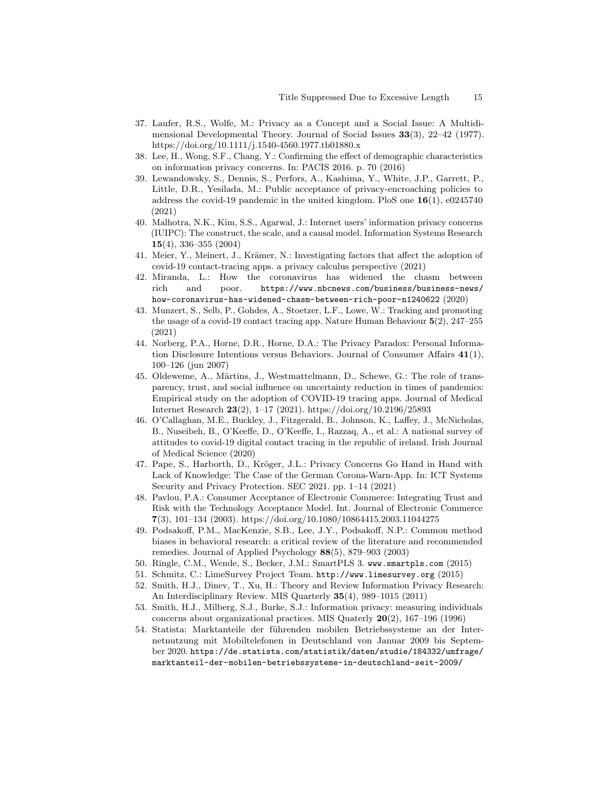- 37. Laufer, R.S., Wolfe, M.: Privacy as a Concept and a Social Issue: A Multidimensional Developmental Theory. Journal of Social Issues 33(3), 22–42 (1977). https://doi.org/10.1111/j.1540-4560.1977.tb01880.x
- 38. Lee, H., Wong, S.F., Chang, Y.: Confirming the effect of demographic characteristics on information privacy concerns. In: PACIS 2016. p. 70 (2016)
- 39. Lewandowsky, S., Dennis, S., Perfors, A., Kashima, Y., White, J.P., Garrett, P., Little, D.R., Yesilada, M.: Public acceptance of privacy-encroaching policies to address the covid-19 pandemic in the united kingdom. PloS one  $16(1)$ , e0245740 (2021)
- 40. Malhotra, N.K., Kim, S.S., Agarwal, J.: Internet users' information privacy concerns (IUIPC): The construct, the scale, and a causal model. Information Systems Research 15(4), 336–355 (2004)
- 41. Meier, Y., Meinert, J., Krämer, N.: Investigating factors that affect the adoption of covid-19 contact-tracing apps. a privacy calculus perspective (2021)
- 42. Miranda, L.: How the coronavirus has widened the chasm between rich and poor. https://www.nbcnews.com/business/business-news/ how-coronavirus-has-widened-chasm-between-rich-poor-n1240622 (2020)
- 43. Munzert, S., Selb, P., Gohdes, A., Stoetzer, L.F., Lowe, W.: Tracking and promoting the usage of a covid-19 contact tracing app. Nature Human Behaviour 5(2), 247–255 (2021)
- 44. Norberg, P.A., Horne, D.R., Horne, D.A.: The Privacy Paradox: Personal Information Disclosure Intentions versus Behaviors. Journal of Consumer Affairs  $41(1)$ , 100–126 (jun 2007)
- 45. Oldeweme, A., Märtins, J., Westmattelmann, D., Schewe, G.: The role of transparency, trust, and social influence on uncertainty reduction in times of pandemics: Empirical study on the adoption of COVID-19 tracing apps. Journal of Medical Internet Research 23(2), 1–17 (2021). https://doi.org/10.2196/25893
- 46. O'Callaghan, M.E., Buckley, J., Fitzgerald, B., Johnson, K., Laffey, J., McNicholas, B., Nuseibeh, B., O'Keeffe, D., O'Keeffe, I., Razzaq, A., et al.: A national survey of attitudes to covid-19 digital contact tracing in the republic of ireland. Irish Journal of Medical Science (2020)
- 47. Pape, S., Harborth, D., Kröger, J.L.: Privacy Concerns Go Hand in Hand with Lack of Knowledge: The Case of the German Corona-Warn-App. In: ICT Systems Security and Privacy Protection. SEC 2021. pp. 1–14 (2021)
- 48. Pavlou, P.A.: Consumer Acceptance of Electronic Commerce: Integrating Trust and Risk with the Technology Acceptance Model. Int. Journal of Electronic Commerce 7(3), 101–134 (2003). https://doi.org/10.1080/10864415.2003.11044275
- 49. Podsakoff, P.M., MacKenzie, S.B., Lee, J.Y., Podsakoff, N.P.: Common method biases in behavioral research: a critical review of the literature and recommended remedies. Journal of Applied Psychology 88(5), 879–903 (2003)
- 50. Ringle, C.M., Wende, S., Becker, J.M.: SmartPLS 3. www.smartpls.com (2015)
- 51. Schmitz, C.: LimeSurvey Project Team. http://www.limesurvey.org (2015)
- 52. Smith, H.J., Dinev, T., Xu, H.: Theory and Review Information Privacy Research: An Interdisciplinary Review. MIS Quarterly 35(4), 989–1015 (2011)
- 53. Smith, H.J., Milberg, S.J., Burke, S.J.: Information privacy: measuring individuals concerns about organizational practices. MIS Quaterly 20(2), 167–196 (1996)
- 54. Statista: Marktanteile der führenden mobilen Betriebssysteme an der Internetnutzung mit Mobiltelefonen in Deutschland von Januar 2009 bis September 2020. https://de.statista.com/statistik/daten/studie/184332/umfrage/ marktanteil-der-mobilen-betriebssysteme-in-deutschland-seit-2009/